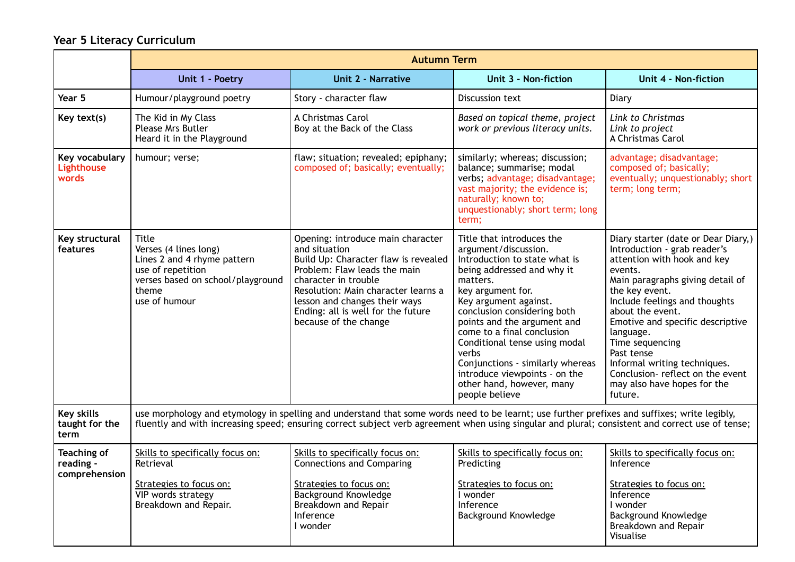## **Year 5 Literacy Curriculum**

|                                             | <b>Autumn Term</b>                                                                                                                                                                                                                                                                               |                                                                                                                                                                                                                                                                                           |                                                                                                                                                                                                                                                                                                                                                                                                                                      |                                                                                                                                                                                                                                                                                                                                                                                                                         |  |
|---------------------------------------------|--------------------------------------------------------------------------------------------------------------------------------------------------------------------------------------------------------------------------------------------------------------------------------------------------|-------------------------------------------------------------------------------------------------------------------------------------------------------------------------------------------------------------------------------------------------------------------------------------------|--------------------------------------------------------------------------------------------------------------------------------------------------------------------------------------------------------------------------------------------------------------------------------------------------------------------------------------------------------------------------------------------------------------------------------------|-------------------------------------------------------------------------------------------------------------------------------------------------------------------------------------------------------------------------------------------------------------------------------------------------------------------------------------------------------------------------------------------------------------------------|--|
|                                             | Unit 1 - Poetry                                                                                                                                                                                                                                                                                  | <b>Unit 2 - Narrative</b>                                                                                                                                                                                                                                                                 | Unit 3 - Non-fiction                                                                                                                                                                                                                                                                                                                                                                                                                 | Unit 4 - Non-fiction                                                                                                                                                                                                                                                                                                                                                                                                    |  |
| Year 5                                      | Humour/playground poetry                                                                                                                                                                                                                                                                         | Story - character flaw                                                                                                                                                                                                                                                                    | Discussion text                                                                                                                                                                                                                                                                                                                                                                                                                      | Diary                                                                                                                                                                                                                                                                                                                                                                                                                   |  |
| Key text(s)                                 | The Kid in My Class<br><b>Please Mrs Butler</b><br>Heard it in the Playground                                                                                                                                                                                                                    | A Christmas Carol<br>Boy at the Back of the Class                                                                                                                                                                                                                                         | Based on topical theme, project<br>work or previous literacy units.                                                                                                                                                                                                                                                                                                                                                                  | Link to Christmas<br>Link to project<br>A Christmas Carol                                                                                                                                                                                                                                                                                                                                                               |  |
| Key vocabulary<br>Lighthouse<br>words       | humour; verse;                                                                                                                                                                                                                                                                                   | flaw; situation; revealed; epiphany;<br>composed of; basically; eventually;                                                                                                                                                                                                               | similarly; whereas; discussion;<br>balance; summarise; modal<br>verbs; advantage; disadvantage;<br>vast majority; the evidence is;<br>naturally; known to;<br>unquestionably; short term; long<br>term;                                                                                                                                                                                                                              | advantage; disadvantage;<br>composed of; basically;<br>eventually; unquestionably; short<br>term; long term;                                                                                                                                                                                                                                                                                                            |  |
| Key structural<br>features                  | <b>Title</b><br>Verses (4 lines long)<br>Lines 2 and 4 rhyme pattern<br>use of repetition<br>verses based on school/playground<br>theme<br>use of humour                                                                                                                                         | Opening: introduce main character<br>and situation<br>Build Up: Character flaw is revealed<br>Problem: Flaw leads the main<br>character in trouble<br>Resolution: Main character learns a<br>lesson and changes their ways<br>Ending: all is well for the future<br>because of the change | Title that introduces the<br>argument/discussion.<br>Introduction to state what is<br>being addressed and why it<br>matters.<br>key argument for.<br>Key argument against.<br>conclusion considering both<br>points and the argument and<br>come to a final conclusion<br>Conditional tense using modal<br>verbs<br>Conjunctions - similarly whereas<br>introduce viewpoints - on the<br>other hand, however, many<br>people believe | Diary starter (date or Dear Diary,)<br>Introduction - grab reader's<br>attention with hook and key<br>events.<br>Main paragraphs giving detail of<br>the key event.<br>Include feelings and thoughts<br>about the event.<br>Emotive and specific descriptive<br>language.<br>Time sequencing<br>Past tense<br>Informal writing techniques.<br>Conclusion-reflect on the event<br>may also have hopes for the<br>future. |  |
| <b>Key skills</b><br>taught for the<br>term | use morphology and etymology in spelling and understand that some words need to be learnt; use further prefixes and suffixes; write legibly,<br>fluently and with increasing speed; ensuring correct subject verb agreement when using singular and plural; consistent and correct use of tense; |                                                                                                                                                                                                                                                                                           |                                                                                                                                                                                                                                                                                                                                                                                                                                      |                                                                                                                                                                                                                                                                                                                                                                                                                         |  |
| Teaching of<br>reading -<br>comprehension   | Skills to specifically focus on:<br>Retrieval<br>Strategies to focus on:<br>VIP words strategy<br>Breakdown and Repair.                                                                                                                                                                          | Skills to specifically focus on:<br><b>Connections and Comparing</b><br>Strategies to focus on:<br><b>Background Knowledge</b><br>Breakdown and Repair<br>Inference                                                                                                                       | Skills to specifically focus on:<br>Predicting<br>Strategies to focus on:<br>I wonder<br>Inference<br><b>Background Knowledge</b>                                                                                                                                                                                                                                                                                                    | Skills to specifically focus on:<br>Inference<br>Strategies to focus on:<br>Inference<br>I wonder<br><b>Background Knowledge</b>                                                                                                                                                                                                                                                                                        |  |
|                                             |                                                                                                                                                                                                                                                                                                  | I wonder                                                                                                                                                                                                                                                                                  |                                                                                                                                                                                                                                                                                                                                                                                                                                      | Breakdown and Repair<br>Visualise                                                                                                                                                                                                                                                                                                                                                                                       |  |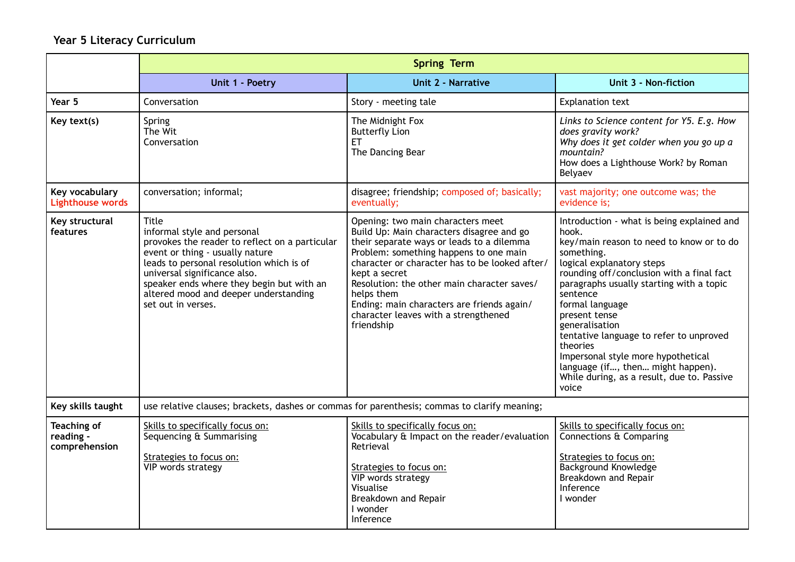## **Year 5 Literacy Curriculum**

|                                                  | <b>Spring Term</b>                                                                                                                                                                                                                                                                                                |                                                                                                                                                                                                                                                                                                                                                                                                           |                                                                                                                                                                                                                                                                                                                                                                                                                                                                                                |  |  |
|--------------------------------------------------|-------------------------------------------------------------------------------------------------------------------------------------------------------------------------------------------------------------------------------------------------------------------------------------------------------------------|-----------------------------------------------------------------------------------------------------------------------------------------------------------------------------------------------------------------------------------------------------------------------------------------------------------------------------------------------------------------------------------------------------------|------------------------------------------------------------------------------------------------------------------------------------------------------------------------------------------------------------------------------------------------------------------------------------------------------------------------------------------------------------------------------------------------------------------------------------------------------------------------------------------------|--|--|
|                                                  | Unit 1 - Poetry                                                                                                                                                                                                                                                                                                   | <b>Unit 2 - Narrative</b>                                                                                                                                                                                                                                                                                                                                                                                 | Unit 3 - Non-fiction                                                                                                                                                                                                                                                                                                                                                                                                                                                                           |  |  |
| Year 5                                           | Conversation                                                                                                                                                                                                                                                                                                      | Story - meeting tale                                                                                                                                                                                                                                                                                                                                                                                      | <b>Explanation text</b>                                                                                                                                                                                                                                                                                                                                                                                                                                                                        |  |  |
| Key text(s)                                      | Spring<br>The Wit<br>Conversation                                                                                                                                                                                                                                                                                 | The Midnight Fox<br><b>Butterfly Lion</b><br>ET.<br>The Dancing Bear                                                                                                                                                                                                                                                                                                                                      | Links to Science content for Y5. E.g. How<br>does gravity work?<br>Why does it get colder when you go up a<br>mountain?<br>How does a Lighthouse Work? by Roman<br>Belyaev                                                                                                                                                                                                                                                                                                                     |  |  |
| Key vocabulary<br><b>Lighthouse words</b>        | conversation; informal;                                                                                                                                                                                                                                                                                           | disagree; friendship; composed of; basically;<br>eventually;                                                                                                                                                                                                                                                                                                                                              | vast majority; one outcome was; the<br>evidence is:                                                                                                                                                                                                                                                                                                                                                                                                                                            |  |  |
| Key structural<br>features                       | Title<br>informal style and personal<br>provokes the reader to reflect on a particular<br>event or thing - usually nature<br>leads to personal resolution which is of<br>universal significance also.<br>speaker ends where they begin but with an<br>altered mood and deeper understanding<br>set out in verses. | Opening: two main characters meet<br>Build Up: Main characters disagree and go<br>their separate ways or leads to a dilemma<br>Problem: something happens to one main<br>character or character has to be looked after/<br>kept a secret<br>Resolution: the other main character saves/<br>helps them<br>Ending: main characters are friends again/<br>character leaves with a strengthened<br>friendship | Introduction - what is being explained and<br>hook.<br>key/main reason to need to know or to do<br>something.<br>logical explanatory steps<br>rounding off/conclusion with a final fact<br>paragraphs usually starting with a topic<br>sentence<br>formal language<br>present tense<br>generalisation<br>tentative language to refer to unproved<br>theories<br>Impersonal style more hypothetical<br>language (if, then might happen).<br>While during, as a result, due to. Passive<br>voice |  |  |
| Key skills taught                                | use relative clauses; brackets, dashes or commas for parenthesis; commas to clarify meaning;                                                                                                                                                                                                                      |                                                                                                                                                                                                                                                                                                                                                                                                           |                                                                                                                                                                                                                                                                                                                                                                                                                                                                                                |  |  |
| <b>Teaching of</b><br>reading -<br>comprehension | Skills to specifically focus on:<br>Sequencing & Summarising<br>Strategies to focus on:<br>VIP words strategy                                                                                                                                                                                                     | Skills to specifically focus on:<br>Vocabulary & Impact on the reader/evaluation<br>Retrieval<br>Strategies to focus on:<br>VIP words strategy<br>Visualise<br>Breakdown and Repair<br>I wonder<br>Inference                                                                                                                                                                                              | Skills to specifically focus on:<br><b>Connections &amp; Comparing</b><br>Strategies to focus on:<br><b>Background Knowledge</b><br><b>Breakdown and Repair</b><br>Inference<br>I wonder                                                                                                                                                                                                                                                                                                       |  |  |